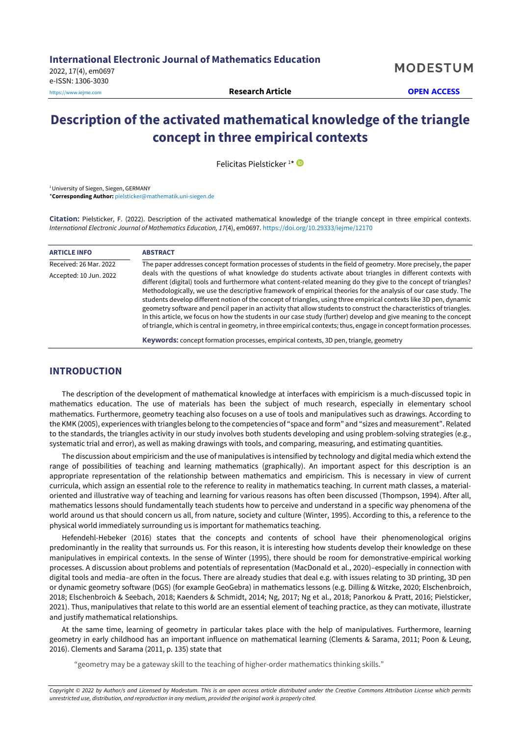# **Description of the activated mathematical knowledge of the triangle concept in three empirical contexts**

Felicitas Pielsticker<sup>1\*</sup>

<sup>1</sup> University of Siegen, Siegen, GERMANY \***Corresponding Author:** [pielsticker@mathematik.uni-siegen.de](mailto:pielsticker@mathematik.uni-siegen.de)

**Citation:** Pielsticker, F. (2022). Description of the activated mathematical knowledge of the triangle concept in three empirical contexts. *International Electronic Journal of Mathematics Education, 17*(4), em0697. <https://doi.org/10.29333/iejme/12170>

| <b>ARTICLE INFO</b>    | <b>ABSTRACT</b>                                                                                                                                                                                                                                                                                                                                                                                                                                                                                                                                                                                                                                                                                                                                                                                                                               |
|------------------------|-----------------------------------------------------------------------------------------------------------------------------------------------------------------------------------------------------------------------------------------------------------------------------------------------------------------------------------------------------------------------------------------------------------------------------------------------------------------------------------------------------------------------------------------------------------------------------------------------------------------------------------------------------------------------------------------------------------------------------------------------------------------------------------------------------------------------------------------------|
| Received: 26 Mar. 2022 | The paper addresses concept formation processes of students in the field of geometry. More precisely, the paper                                                                                                                                                                                                                                                                                                                                                                                                                                                                                                                                                                                                                                                                                                                               |
| Accepted: 10 Jun. 2022 | deals with the questions of what knowledge do students activate about triangles in different contexts with<br>different (digital) tools and furthermore what content-related meaning do they give to the concept of triangles?<br>Methodologically, we use the descriptive framework of empirical theories for the analysis of our case study. The<br>students develop different notion of the concept of triangles, using three empirical contexts like 3D pen, dynamic<br>geometry software and pencil paper in an activity that allow students to construct the characteristics of triangles.<br>In this article, we focus on how the students in our case study (further) develop and give meaning to the concept<br>of triangle, which is central in geometry, in three empirical contexts; thus, engage in concept formation processes. |
|                        | <b>Keywords:</b> concept formation processes, empirical contexts, 3D pen, triangle, geometry                                                                                                                                                                                                                                                                                                                                                                                                                                                                                                                                                                                                                                                                                                                                                  |

# **INTRODUCTION**

The description of the development of mathematical knowledge at interfaces with empiricism is a much-discussed topic in mathematics education. The use of materials has been the subject of much research, especially in elementary school mathematics. Furthermore, geometry teaching also focuses on a use of tools and manipulatives such as drawings. According to the KMK (2005), experiences with triangles belong to the competencies of "space and form" and "sizes and measurement". Related to the standards, the triangles activity in our study involves both students developing and using problem-solving strategies (e.g., systematic trial and error), as well as making drawings with tools, and comparing, measuring, and estimating quantities.

The discussion about empiricism and the use of manipulatives is intensified by technology and digital media which extend the range of possibilities of teaching and learning mathematics (graphically). An important aspect for this description is an appropriate representation of the relationship between mathematics and empiricism. This is necessary in view of current curricula, which assign an essential role to the reference to reality in mathematics teaching. In current math classes, a materialoriented and illustrative way of teaching and learning for various reasons has often been discussed (Thompson, 1994). After all, mathematics lessons should fundamentally teach students how to perceive and understand in a specific way phenomena of the world around us that should concern us all, from nature, society and culture (Winter, 1995). According to this, a reference to the physical world immediately surrounding us is important for mathematics teaching.

Hefendehl-Hebeker (2016) states that the concepts and contents of school have their phenomenological origins predominantly in the reality that surrounds us. For this reason, it is interesting how students develop their knowledge on these manipulatives in empirical contexts. In the sense of Winter (1995), there should be room for demonstrative-empirical working processes. A discussion about problems and potentials of representation (MacDonald et al., 2020)–especially in connection with digital tools and media–are often in the focus. There are already studies that deal e.g. with issues relating to 3D printing, 3D pen or dynamic geometry software (DGS) (for example GeoGebra) in mathematics lessons (e.g. Dilling & Witzke, 2020; Elschenbroich, 2018; Elschenbroich & Seebach, 2018; Kaenders & Schmidt, 2014; Ng, 2017; Ng et al., 2018; Panorkou & Pratt, 2016; Pielsticker, 2021). Thus, manipulatives that relate to this world are an essential element of teaching practice, as they can motivate, illustrate and justify mathematical relationships.

At the same time, learning of geometry in particular takes place with the help of manipulatives. Furthermore, learning geometry in early childhood has an important influence on mathematical learning (Clements & Sarama, 2011; Poon & Leung, 2016). Clements and Sarama (2011, p. 135) state that

"geometry may be a gateway skill to the teaching of higher-order mathematics thinking skills."

Copyright © 2022 by Author/s and Licensed by Modestum. This is an open access article distributed under the Creative Commons Attribution License which permits *unrestricted use, distribution, and reproduction in any medium, provided the original work is properly cited.*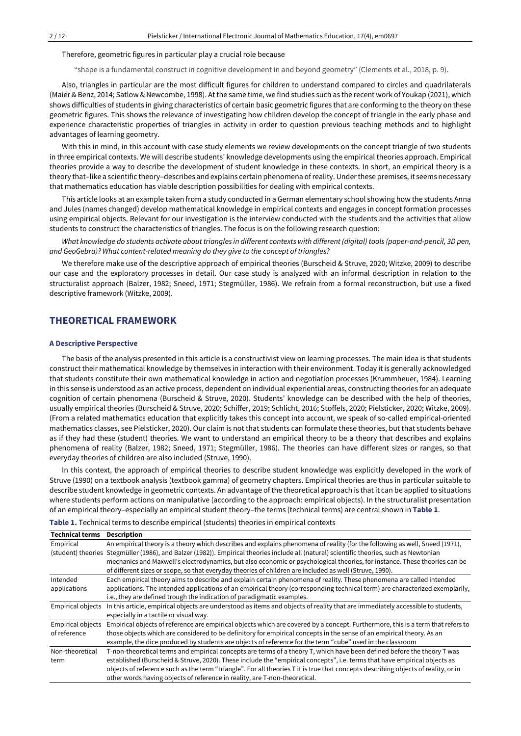Therefore, geometric figures in particular play a crucial role because

"shape is a fundamental construct in cognitive development in and beyond geometry" (Clements et al., 2018, p. 9).

Also, triangles in particular are the most difficult figures for children to understand compared to circles and quadrilaterals (Maier & Benz, 2014; Satlow & Newcombe, 1998). Atthe same time, we find studies such as the recent work of Youkap (2021), which shows difficulties of students in giving characteristics of certain basic geometric figures that are conforming to the theory on these geometric figures. This shows the relevance of investigating how children develop the concept of triangle in the early phase and experience characteristic properties of triangles in activity in order to question previous teaching methods and to highlight advantages of learning geometry.

With this in mind, in this account with case study elements we review developments on the concept triangle of two students in three empirical contexts. We will describe students' knowledge developments using the empirical theories approach. Empirical theories provide a way to describe the development of student knowledge in these contexts. In short, an empirical theory is a theory that–like a scientific theory–describes and explains certain phenomena ofreality. Underthese premises, it seems necessary that mathematics education has viable description possibilities for dealing with empirical contexts.

This article looks at an example taken from a study conducted in a German elementary school showing how the students Anna and Jules (names changed) develop mathematical knowledge in empirical contexts and engages in concept formation processes using empirical objects. Relevant for our investigation is the interview conducted with the students and the activities that allow students to construct the characteristics of triangles. The focus is on the following research question:

What knowledge do students activate about triangles in different contexts with different (digital) tools (paper-and-pencil, 3D pen, *and GeoGebra)? What content-related meaning do they give to the concept of triangles?*

We therefore make use of the descriptive approach of empirical theories (Burscheid & Struve, 2020; Witzke, 2009) to describe our case and the exploratory processes in detail. Our case study is analyzed with an informal description in relation to the structuralist approach (Balzer, 1982; Sneed, 1971; Stegmüller, 1986). We refrain from a formal reconstruction, but use a fixed descriptive framework (Witzke, 2009).

# **THEORETICAL FRAMEWORK**

### **A Descriptive Perspective**

The basis of the analysis presented in this article is a constructivist view on learning processes. The main idea is that students construct their mathematical knowledge by themselves in interaction with their environment. Today itis generally acknowledged that students constitute their own mathematical knowledge in action and negotiation processes (Krummheuer, 1984). Learning in this sense is understood as an active process, dependent on individual experiential areas, constructing theories for an adequate cognition of certain phenomena (Burscheid & Struve, 2020). Students' knowledge can be described with the help of theories, usually empirical theories (Burscheid & Struve, 2020; Schiffer, 2019; Schlicht, 2016; Stoffels, 2020; Pielsticker, 2020; Witzke, 2009). (From a related mathematics education that explicitly takes this concept into account, we speak of so-called empirical-oriented mathematics classes, see Pielsticker, 2020). Our claim is not that students can formulate these theories, but that students behave as if they had these (student) theories. We want to understand an empirical theory to be a theory that describes and explains phenomena of reality (Balzer, 1982; Sneed, 1971; Stegmüller, 1986). The theories can have different sizes or ranges, so that everyday theories of children are also included (Struve, 1990).

In this context, the approach of empirical theories to describe student knowledge was explicitly developed in the work of Struve (1990) on a textbook analysis (textbook gamma) of geometry chapters. Empirical theories are thus in particular suitable to describe student knowledge in geometric contexts. An advantage of the theoretical approach is that it can be applied to situations where students perform actions on manipulative (according to the approach: empirical objects). In the structuralist presentation of an empirical theory–especially an empirical student theory–the terms (technical terms) are central shown in **Table 1**.

| Table 1. Technical terms to describe empirical (students) theories in empirical contexts |  |  |
|------------------------------------------------------------------------------------------|--|--|
|                                                                                          |  |  |

| <b>Technical terms</b>   | <b>Description</b>                                                                                                                        |
|--------------------------|-------------------------------------------------------------------------------------------------------------------------------------------|
| Empirical                | An empirical theory is a theory which describes and explains phenomena of reality (for the following as well, Sneed (1971),               |
|                          | (student) theories Stegmüller (1986), and Balzer (1982)). Empirical theories include all (natural) scientific theories, such as Newtonian |
|                          | mechanics and Maxwell's electrodynamics, but also economic or psychological theories, for instance. These theories can be                 |
|                          | of different sizes or scope, so that everyday theories of children are included as well (Struve, 1990).                                   |
| Intended                 | Each empirical theory aims to describe and explain certain phenomena of reality. These phenomena are called intended                      |
| applications             | applications. The intended applications of an empirical theory (corresponding technical term) are characterized exemplarily,              |
|                          | i.e., they are defined trough the indication of paradigmatic examples.                                                                    |
| <b>Empirical objects</b> | In this article, empirical objects are understood as items and objects of reality that are immediately accessible to students,            |
|                          | especially in a tactile or visual way.                                                                                                    |
| <b>Empirical objects</b> | Empirical objects of reference are empirical objects which are covered by a concept. Furthermore, this is a term that refers to           |
| of reference             | those objects which are considered to be definitory for empirical concepts in the sense of an empirical theory. As an                     |
|                          | example, the dice produced by students are objects of reference for the term "cube" used in the classroom                                 |
| Non-theoretical          | T-non-theoretical terms and empirical concepts are terms of a theory T, which have been defined before the theory T was                   |
| term                     | established (Burscheid & Struve, 2020). These include the "empirical concepts", i.e. terms that have empirical objects as                 |
|                          | objects of reference such as the term "triangle". For all theories T it is true that concepts describing objects of reality, or in        |
|                          | other words having objects of reference in reality, are T-non-theoretical.                                                                |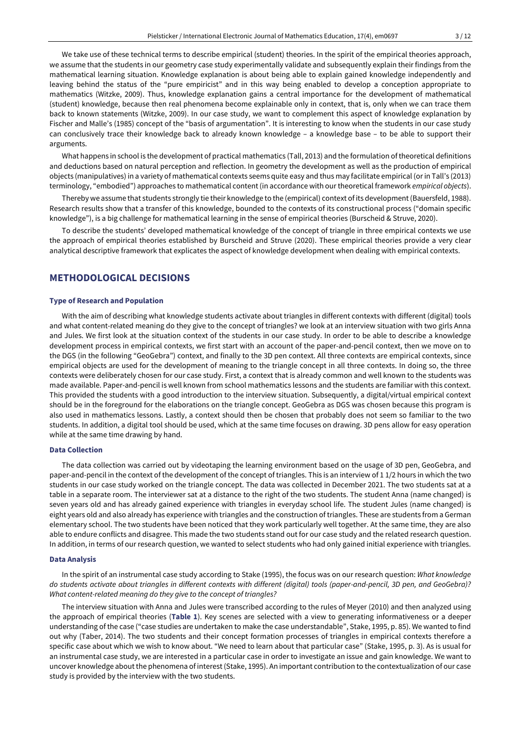We take use of these technical terms to describe empirical (student) theories. In the spirit of the empirical theories approach, we assume that the students in our geometry case study experimentally validate and subsequently explain their findings from the mathematical learning situation. Knowledge explanation is about being able to explain gained knowledge independently and leaving behind the status of the "pure empiricist" and in this way being enabled to develop a conception appropriate to mathematics (Witzke, 2009). Thus, knowledge explanation gains a central importance for the development of mathematical (student) knowledge, because then real phenomena become explainable only in context, that is, only when we can trace them back to known statements (Witzke, 2009). In our case study, we want to complement this aspect of knowledge explanation by Fischer and Malle's (1985) concept of the "basis of argumentation". It is interesting to know when the students in our case study can conclusively trace their knowledge back to already known knowledge – a knowledge base – to be able to support their arguments.

What happens in school is the development of practical mathematics (Tall, 2013) and the formulation oftheoretical definitions and deductions based on natural perception and reflection. In geometry the development as well as the production of empirical objects (manipulatives) in a variety of mathematical contexts seems quite easy and thus may facilitate empirical (orin Tall's (2013) terminology, "embodied") approaches to mathematical content (in accordance with our theoretical framework *empirical objects*).

Thereby we assume that students strongly tie their knowledge to the (empirical) context of its development(Bauersfeld, 1988). Research results show that a transfer of this knowledge, bounded to the contexts of its constructional process ("domain specific knowledge"), is a big challenge for mathematical learning in the sense of empirical theories (Burscheid & Struve, 2020).

To describe the students' developed mathematical knowledge of the concept of triangle in three empirical contexts we use the approach of empirical theories established by Burscheid and Struve (2020). These empirical theories provide a very clear analytical descriptive framework that explicates the aspect of knowledge development when dealing with empirical contexts.

## **METHODOLOGICAL DECISIONS**

#### **Type of Research and Population**

With the aim of describing what knowledge students activate about triangles in different contexts with different (digital) tools and what content-related meaning do they give to the concept of triangles? we look at an interview situation with two girls Anna and Jules. We first look at the situation context of the students in our case study. In order to be able to describe a knowledge development process in empirical contexts, we first start with an account of the paper-and-pencil context, then we move on to the DGS (in the following "GeoGebra") context, and finally to the 3D pen context. All three contexts are empirical contexts, since empirical objects are used for the development of meaning to the triangle concept in all three contexts. In doing so, the three contexts were deliberately chosen for our case study. First, a context that is already common and well known to the students was made available. Paper-and-pencil is well known from school mathematics lessons and the students are familiar with this context. This provided the students with a good introduction to the interview situation. Subsequently, a digital/virtual empirical context should be in the foreground for the elaborations on the triangle concept. GeoGebra as DGS was chosen because this program is also used in mathematics lessons. Lastly, a context should then be chosen that probably does not seem so familiar to the two students. In addition, a digital tool should be used, which at the same time focuses on drawing. 3D pens allow for easy operation while at the same time drawing by hand.

#### **Data Collection**

The data collection was carried out by videotaping the learning environment based on the usage of 3D pen, GeoGebra, and paper-and-pencil in the context of the development of the concept of triangles. This is an interview of 1 1/2 hours in which the two students in our case study worked on the triangle concept. The data was collected in December 2021. The two students sat at a table in a separate room. The interviewer sat at a distance to the right of the two students. The student Anna (name changed) is seven years old and has already gained experience with triangles in everyday school life. The student Jules (name changed) is eight years old and also already has experience with triangles and the construction of triangles. These are students from a German elementary school. The two students have been noticed that they work particularly well together. At the same time, they are also able to endure conflicts and disagree. This made the two students stand out for our case study and the related research question. In addition, in terms of our research question, we wanted to select students who had only gained initial experience with triangles.

### **Data Analysis**

In the spirit of an instrumental case study according to Stake (1995), the focus was on our research question: *What knowledge* do students activate about triangles in different contexts with different (digital) tools (paper-and-pencil, 3D pen, and GeoGebra)? *What content-related meaning do they give to the concept of triangles?*

The interview situation with Anna and Jules were transcribed according to the rules of Meyer (2010) and then analyzed using the approach of empirical theories (**Table 1**). Key scenes are selected with a view to generating informativeness or a deeper understanding of the case ("case studies are undertaken to make the case understandable", Stake, 1995, p. 85). We wanted to find out why (Taber, 2014). The two students and their concept formation processes of triangles in empirical contexts therefore a specific case about which we wish to know about. "We need to learn about that particular case" (Stake, 1995, p. 3). As is usual for an instrumental case study, we are interested in a particular case in order to investigate an issue and gain knowledge. We want to uncover knowledge about the phenomena of interest (Stake, 1995). An important contribution to the contextualization of our case study is provided by the interview with the two students.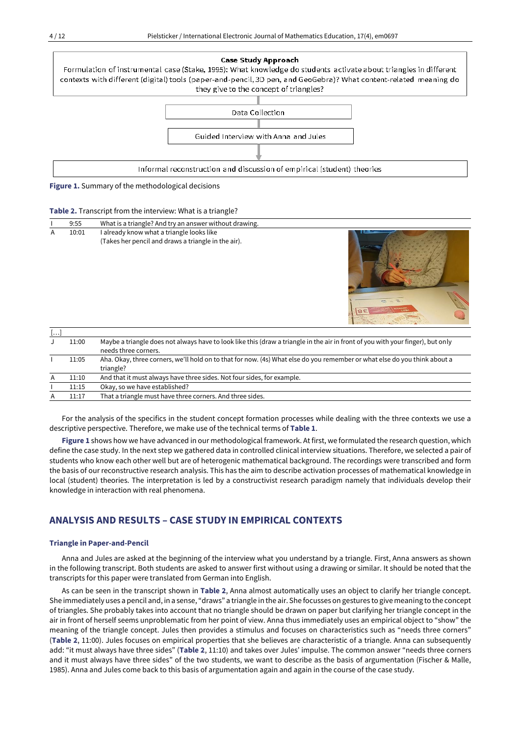

**Figure 1.** Summary of the methodological decisions

|                |       | ັ                                                                                                                              |                                            |
|----------------|-------|--------------------------------------------------------------------------------------------------------------------------------|--------------------------------------------|
|                | 9:55  | What is a triangle? And try an answer without drawing.                                                                         |                                            |
| $\overline{A}$ | 10:01 | I already know what a triangle looks like<br>(Takes her pencil and draws a triangle in the air).                               | $\circ - 8 -$<br><b>CAV</b><br>$B\epsilon$ |
| []             |       |                                                                                                                                |                                            |
|                | 11.00 | Maybe a triangle does not always have to look like this (draw a triangle in the air in front of you with your finger) but only |                                            |

| l…l |       |                                                                                                                                                         |
|-----|-------|---------------------------------------------------------------------------------------------------------------------------------------------------------|
|     | 11:00 | Maybe a triangle does not always have to look like this (draw a triangle in the air in front of you with your finger), but only<br>needs three corners. |
|     | 11:05 | Aha. Okay, three corners, we'll hold on to that for now. (4s) What else do you remember or what else do you think about a<br>triangle?                  |
| A   | 11:10 | And that it must always have three sides. Not four sides, for example.                                                                                  |
|     | 11:15 | Okay, so we have established?                                                                                                                           |
|     | 11:17 | That a triangle must have three corners. And three sides.                                                                                               |

For the analysis of the specifics in the student concept formation processes while dealing with the three contexts we use a descriptive perspective. Therefore, we make use of the technical terms of **Table 1**.

Figure 1 shows how we have advanced in our methodological framework. At first, we formulated the research question, which define the case study. In the next step we gathered data in controlled clinical interview situations. Therefore, we selected a pair of students who know each other well but are of heterogenic mathematical background. The recordings were transcribed and form the basis of our reconstructive research analysis. This has the aim to describe activation processes of mathematical knowledge in local (student) theories. The interpretation is led by a constructivist research paradigm namely that individuals develop their knowledge in interaction with real phenomena.

# **ANALYSIS AND RESULTS – CASE STUDY IN EMPIRICAL CONTEXTS**

#### **Triangle in Paper-and-Pencil**

Anna and Jules are asked at the beginning of the interview what you understand by a triangle. First, Anna answers as shown in the following transcript. Both students are asked to answer first without using a drawing or similar. It should be noted that the transcripts for this paper were translated from German into English.

As can be seen in the transcript shown in **Table 2**, Anna almost automatically uses an object to clarify her triangle concept. She immediately uses a pencil and, in a sense, "draws" a triangle in the air. She focusses on gestures to give meaning to the concept of triangles. She probably takes into account that no triangle should be drawn on paper but clarifying her triangle concept in the air in front of herself seems unproblematic from her point of view. Anna thus immediately uses an empirical object to "show" the meaning of the triangle concept. Jules then provides a stimulus and focuses on characteristics such as "needs three corners" (**Table 2**, 11:00). Jules focuses on empirical properties that she believes are characteristic of a triangle. Anna can subsequently add: "it must always have three sides" (**Table 2**, 11:10) and takes over Jules' impulse. The common answer "needs three corners and it must always have three sides" of the two students, we want to describe as the basis of argumentation (Fischer & Malle, 1985). Anna and Jules come back to this basis of argumentation again and again in the course of the case study.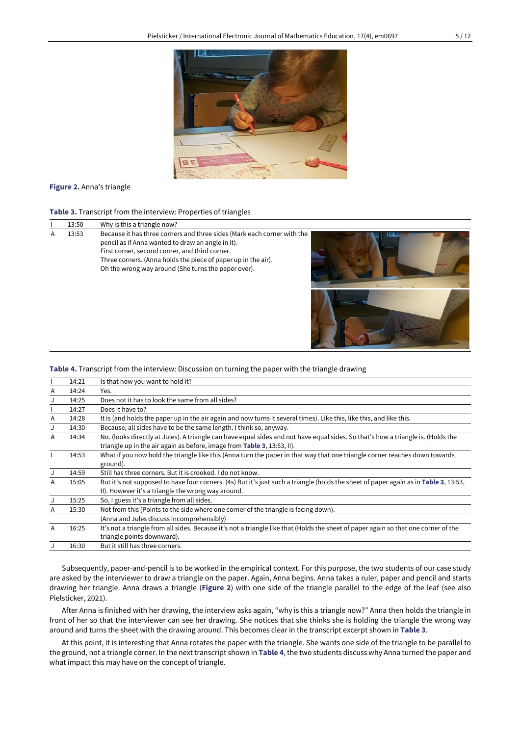

## **Figure 2.** Anna's triangle

**Table 3.** Transcript from the interview: Properties of triangles

|   | 13:50 | Why is this a triangle now?                                                                                                                                                                                                                                                                            |  |
|---|-------|--------------------------------------------------------------------------------------------------------------------------------------------------------------------------------------------------------------------------------------------------------------------------------------------------------|--|
| А | 13:53 | Because it has three corners and three sides (Mark each corner with the<br>pencil as if Anna wanted to draw an angle in it).<br>First corner, second corner, and third corner.<br>Three corners. (Anna holds the piece of paper up in the air).<br>Oh the wrong way around (She turns the paper over). |  |

## **Table 4.** Transcript from the interview: Discussion on turning the paper with the triangle drawing

|   | 14:21 | Is that how you want to hold it?                                                                                                     |
|---|-------|--------------------------------------------------------------------------------------------------------------------------------------|
| A | 14:24 | Yes.                                                                                                                                 |
| J | 14:25 | Does not it has to look the same from all sides?                                                                                     |
|   | 14:27 | Does it have to?                                                                                                                     |
| Α | 14:28 | It is (and holds the paper up in the air again and now turns it several times). Like this, like this, and like this.                 |
| J | 14:30 | Because, all sides have to be the same length. I think so, anyway.                                                                   |
| A | 14:34 | No. (looks directly at Jules). A triangle can have equal sides and not have equal sides. So that's how a triangle is. (Holds the     |
|   |       | triangle up in the air again as before, image from Table 3, 13:53, II).                                                              |
|   | 14:53 | What if you now hold the triangle like this (Anna turn the paper in that way that one triangle corner reaches down towards           |
|   |       | ground).                                                                                                                             |
| J | 14:59 | Still has three corners. But it is crooked. I do not know.                                                                           |
| A | 15:05 | But it's not supposed to have four corners. (4s) But it's just such a triangle (holds the sheet of paper again as in Table 3, 13:53, |
|   |       | II). However it's a triangle the wrong way around.                                                                                   |
| J | 15:25 | So, I guess it's a triangle from all sides.                                                                                          |
| A | 15:30 | Not from this (Points to the side where one corner of the triangle is facing down).                                                  |
|   |       | (Anna and Jules discuss incomprehensibly)                                                                                            |
| A | 16:25 | It's not a triangle from all sides. Because it's not a triangle like that (Holds the sheet of paper again so that one corner of the  |
|   |       | triangle points downward).                                                                                                           |
|   | 16:30 | But it still has three corners.                                                                                                      |

Subsequently, paper-and-pencil is to be worked in the empirical context. For this purpose, the two students of our case study are asked by the interviewer to draw a triangle on the paper. Again, Anna begins. Anna takes a ruler, paper and pencil and starts drawing her triangle. Anna draws a triangle (**Figure 2**) with one side of the triangle parallel to the edge of the leaf (see also Pielsticker, 2021).

After Anna is finished with her drawing, the interview asks again, "why is this a triangle now?" Anna then holds the triangle in front of her so that the interviewer can see her drawing. She notices that she thinks she is holding the triangle the wrong way around and turns the sheet with the drawing around. This becomes clear in the transcript excerpt shown in **Table 3**.

At this point, it is interesting that Anna rotates the paper with the triangle. She wants one side of the triangle to be parallel to the ground, not a triangle corner. In the nexttranscript shown in **Table 4**, the two students discuss why Anna turned the paper and what impact this may have on the concept of triangle.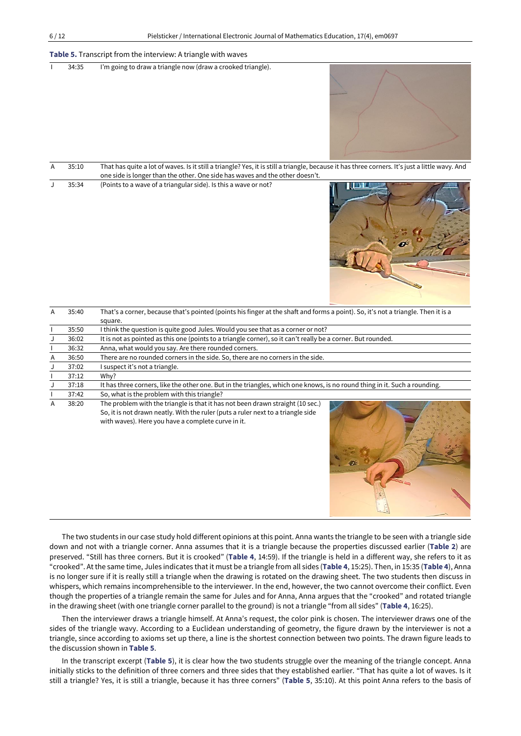### **Table 5.** Transcript from the interview: A triangle with waves

|  | 34:35 | I'm going to draw a triangle now (draw a crooked triangle). |  |
|--|-------|-------------------------------------------------------------|--|
|--|-------|-------------------------------------------------------------|--|



| 35:10 | That has quite a lot of waves. Is it still a triangle? Yes, it is still a triangle, because it has three corners. It's just a little wavy. And |            |
|-------|------------------------------------------------------------------------------------------------------------------------------------------------|------------|
|       | one side is longer than the other. One side has waves and the other doesn't.                                                                   |            |
| 35:34 | (Points to a wave of a triangular side). Is this a wave or not?                                                                                | VI DIESE T |



| A | 35:40 | That's a corner, because that's pointed (points his finger at the shaft and forms a point). So, it's not a triangle. Then it is a                                                                                        |
|---|-------|--------------------------------------------------------------------------------------------------------------------------------------------------------------------------------------------------------------------------|
|   |       | square.                                                                                                                                                                                                                  |
|   | 35:50 | I think the question is quite good Jules. Would you see that as a corner or not?                                                                                                                                         |
|   | 36:02 | It is not as pointed as this one (points to a triangle corner), so it can't really be a corner. But rounded.                                                                                                             |
|   | 36:32 | Anna, what would you say. Are there rounded corners.                                                                                                                                                                     |
| A | 36:50 | There are no rounded corners in the side. So, there are no corners in the side.                                                                                                                                          |
| J | 37:02 | I suspect it's not a triangle.                                                                                                                                                                                           |
|   | 37:12 | Why?                                                                                                                                                                                                                     |
|   | 37:18 | It has three corners, like the other one. But in the triangles, which one knows, is no round thing in it. Such a rounding.                                                                                               |
|   | 37:42 | So, what is the problem with this triangle?                                                                                                                                                                              |
| A | 38:20 | The problem with the triangle is that it has not been drawn straight (10 sec.)<br>So, it is not drawn neatly. With the ruler (puts a ruler next to a triangle side<br>with waves). Here you have a complete curve in it. |



The two students in our case study hold different opinions at this point. Anna wants the triangle to be seen with a triangle side down and not with a triangle corner. Anna assumes that it is a triangle because the properties discussed earlier (**Table 2**) are preserved. "Still has three corners. But it is crooked" (**Table 4**, 14:59). If the triangle is held in a different way, she refers to it as "crooked". Atthe same time, Jules indicates that it must be a triangle from all sides (**Table 4**, 15:25). Then, in 15:35 (**Table 4**), Anna is no longer sure if it is really still a triangle when the drawing is rotated on the drawing sheet. The two students then discuss in whispers, which remains incomprehensible to the interviewer. In the end, however, the two cannot overcome their conflict. Even though the properties of a triangle remain the same for Jules and for Anna, Anna argues that the "crooked" and rotated triangle in the drawing sheet (with one triangle corner parallel to the ground) is not a triangle "from all sides" (**Table 4**, 16:25).

Then the interviewer draws a triangle himself. At Anna's request, the color pink is chosen. The interviewer draws one of the sides of the triangle wavy. According to a Euclidean understanding of geometry, the figure drawn by the interviewer is not a triangle, since according to axioms set up there, a line is the shortest connection between two points. The drawn figure leads to the discussion shown in **Table 5**.

In the transcript excerpt (**Table 5**), it is clear how the two students struggle over the meaning of the triangle concept. Anna initially sticks to the definition of three corners and three sides that they established earlier. "That has quite a lot of waves. Is it still a triangle? Yes, it is still a triangle, because it has three corners" (**Table 5**, 35:10). At this point Anna refers to the basis of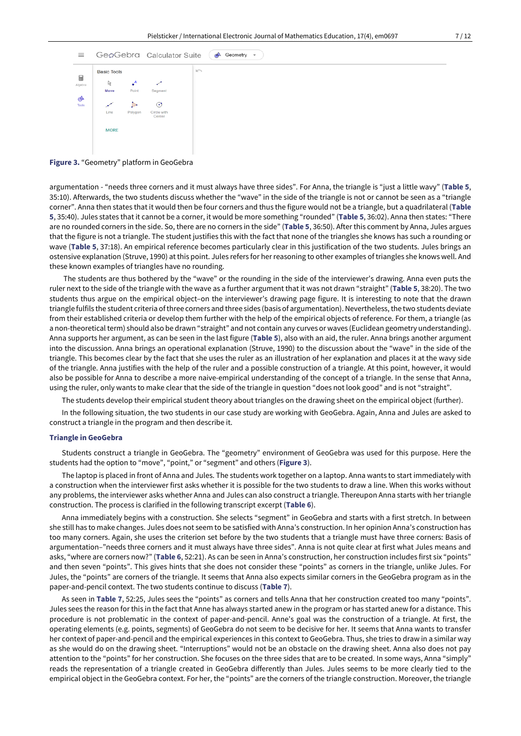

**Figure 3.** "Geometry" platform in GeoGebra

argumentation - "needs three corners and it must always have three sides". For Anna, the triangle is "just a little wavy" (**Table 5**, 35:10). Afterwards, the two students discuss whether the "wave" in the side of the triangle is not or cannot be seen as a "triangle corner". Anna then states that it would then be four corners and thus the figure would not be a triangle, but a quadrilateral (**Table 5**, 35:40). Jules states that it cannot be a corner, it would be more something "rounded" (**Table 5**, 36:02). Anna then states: "There are no rounded corners in the side. So, there are no corners in the side" (**Table 5**, 36:50). After this comment by Anna, Jules argues that the figure is not a triangle. The student justifies this with the fact that none of the triangles she knows has such a rounding or wave (**Table 5**, 37:18). An empirical reference becomes particularly clear in this justification of the two students. Jules brings an ostensive explanation (Struve, 1990) atthis point. Jules refers for herreasoning to other examples of triangles she knows well. And these known examples of triangles have no rounding.

The students are thus bothered by the "wave" or the rounding in the side of the interviewer's drawing. Anna even puts the ruler next to the side of the triangle with the wave as a further argument that it was not drawn "straight" (**Table 5**, 38:20). The two students thus argue on the empirical object–on the interviewer's drawing page figure. It is interesting to note that the drawn triangle fulfils the student criteria of three corners and three sides (basis of argumentation). Nevertheless, the two students deviate from their established criteria or develop them further with the help of the empirical objects of reference. For them, a triangle (as a non-theoretical term) should also be drawn "straight" and not contain any curves or waves (Euclidean geometry understanding). Anna supports her argument, as can be seen in the last figure (**Table 5**), also with an aid, the ruler. Anna brings another argument into the discussion. Anna brings an operational explanation (Struve, 1990) to the discussion about the "wave" in the side of the triangle. This becomes clear by the fact that she uses the ruler as an illustration of her explanation and places it at the wavy side of the triangle. Anna justifies with the help of the ruler and a possible construction of a triangle. At this point, however, it would also be possible for Anna to describe a more naive-empirical understanding of the concept of a triangle. In the sense that Anna, using the ruler, only wants to make clear that the side of the triangle in question "does not look good" and is not "straight".

The students develop their empirical student theory about triangles on the drawing sheet on the empirical object (further).

In the following situation, the two students in our case study are working with GeoGebra. Again, Anna and Jules are asked to construct a triangle in the program and then describe it.

#### **Triangle in GeoGebra**

Students construct a triangle in GeoGebra. The "geometry" environment of GeoGebra was used for this purpose. Here the students had the option to "move", "point," or "segment" and others (**Figure 3**).

The laptop is placed in front of Anna and Jules. The students work together on a laptop. Anna wants to start immediately with a construction when the interviewer first asks whether it is possible for the two students to draw a line. When this works without any problems, the interviewer asks whether Anna and Jules can also construct a triangle. Thereupon Anna starts with her triangle construction. The process is clarified in the following transcript excerpt (**Table 6**).

Anna immediately begins with a construction. She selects "segment" in GeoGebra and starts with a first stretch. In between she still has to make changes. Jules does not seem to be satisfied with Anna's construction. In her opinion Anna's construction has too many corners. Again, she uses the criterion set before by the two students that a triangle must have three corners: Basis of argumentation–"needs three corners and it must always have three sides". Anna is not quite clear at first what Jules means and asks, "where are corners now?" (**Table 6**, 52:21). As can be seen in Anna's construction, her construction includes first six "points" and then seven "points". This gives hints that she does not consider these "points" as corners in the triangle, unlike Jules. For Jules, the "points" are corners of the triangle. It seems that Anna also expects similar corners in the GeoGebra program as in the paper-and-pencil context. The two students continue to discuss (**Table 7**).

As seen in **Table 7**, 52:25, Jules sees the "points" as corners and tells Anna that her construction created too many "points". Jules sees the reason for this in the fact that Anne has always started anew in the program or has started anew for a distance. This procedure is not problematic in the context of paper-and-pencil. Anne's goal was the construction of a triangle. At first, the operating elements (e.g. points, segments) of GeoGebra do not seem to be decisive for her. It seems that Anna wants to transfer her context of paper-and-pencil and the empirical experiences in this context to GeoGebra. Thus, she tries to draw in a similar way as she would do on the drawing sheet. "Interruptions" would not be an obstacle on the drawing sheet. Anna also does not pay attention to the "points" for her construction. She focuses on the three sides that are to be created. In some ways, Anna "simply" reads the representation of a triangle created in GeoGebra differently than Jules. Jules seems to be more clearly tied to the empirical object in the GeoGebra context. For her, the "points" are the corners of the triangle construction. Moreover, the triangle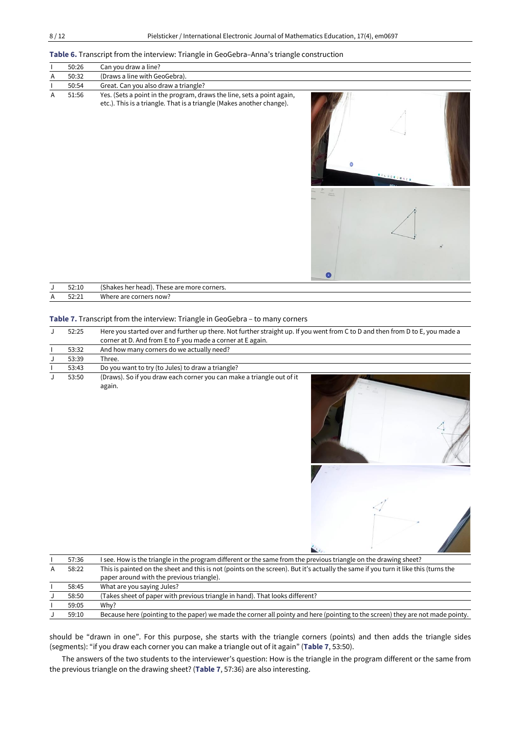## **Table 6.** Transcript from the interview: Triangle in GeoGebra–Anna's triangle construction

|   | 50:26 | Can you draw a line?                                                                                                                            |  |  |
|---|-------|-------------------------------------------------------------------------------------------------------------------------------------------------|--|--|
| A | 50:32 | (Draws a line with GeoGebra).                                                                                                                   |  |  |
|   | 50:54 | Great. Can you also draw a triangle?                                                                                                            |  |  |
| A | 51:56 | Yes. (Sets a point in the program, draws the line, sets a point again,<br>etc.). This is a triangle. That is a triangle (Makes another change). |  |  |

|    | 52:10          | $\sim$<br>These are more corners.<br>(Shakes her head). |
|----|----------------|---------------------------------------------------------|
| A. | 52.21<br>JL.LL | Where are<br>corners now?                               |

Ō

## **Table 7.** Transcript from the interview: Triangle in GeoGebra – to many corners

| 52:25 | Here you started over and further up there. Not further straight up. If you went from C to D and then from D to E, you made a |  |
|-------|-------------------------------------------------------------------------------------------------------------------------------|--|
|       | corner at D. And from E to F you made a corner at E again.                                                                    |  |
| 53:32 | And how many corners do we actually need?                                                                                     |  |
| 53:39 | Three.                                                                                                                        |  |
| 53:43 | Do you want to try (to Jules) to draw a triangle?                                                                             |  |
| 53:50 | (Draws). So if you draw each corner you can make a triangle out of it<br>again.                                               |  |





|   | 57:36 | I see. How is the triangle in the program different or the same from the previous triangle on the drawing sheet?                    |  |
|---|-------|-------------------------------------------------------------------------------------------------------------------------------------|--|
| A | 58:22 | This is painted on the sheet and this is not (points on the screen). But it's actually the same if you turn it like this (turns the |  |
|   |       | paper around with the previous triangle).                                                                                           |  |
|   | 58:45 | What are you saying Jules?                                                                                                          |  |
|   | 58:50 | (Takes sheet of paper with previous triangle in hand). That looks different?                                                        |  |
|   | 59:05 | Why?                                                                                                                                |  |
|   | 59:10 | Because here (pointing to the paper) we made the corner all pointy and here (pointing to the screen) they are not made pointy.      |  |

should be "drawn in one". For this purpose, she starts with the triangle corners (points) and then adds the triangle sides (segments): "if you draw each corner you can make a triangle out of it again" (**Table 7**, 53:50).

The answers of the two students to the interviewer's question: How is the triangle in the program different or the same from the previous triangle on the drawing sheet? (**Table 7**, 57:36) are also interesting.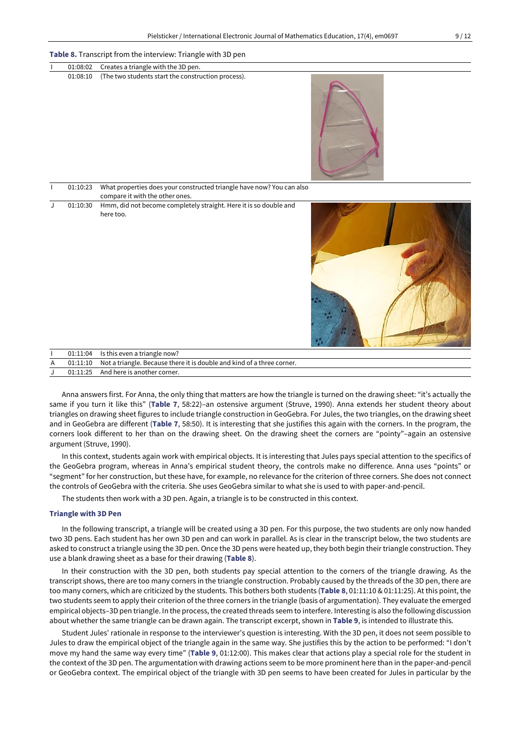| 01:08:02 | Creates a triangle with the 3D pen.                                                                      |
|----------|----------------------------------------------------------------------------------------------------------|
| 01:08:10 | (The two students start the construction process).                                                       |
| 01:10:23 | What properties does your constructed triangle have now? You can also<br>compare it with the other ones. |
| 01:10:30 | Hmm, did not become completely straight. Here it is so double and<br>here too.                           |

|  | 01:11:04 Is this even a triangle now?                                           |  |
|--|---------------------------------------------------------------------------------|--|
|  | 01:11:10 Not a triangle. Because there it is double and kind of a three corner. |  |
|  | 01:11:25 And here is another corner.                                            |  |

Anna answers first. For Anna, the only thing that matters are how the triangle is turned on the drawing sheet: "it's actually the same if you turn it like this" (**Table 7**, 58:22)–an ostensive argument (Struve, 1990). Anna extends her student theory about triangles on drawing sheet figures to include triangle construction in GeoGebra. For Jules, the two triangles, on the drawing sheet and in GeoGebra are different (**Table 7**, 58:50). It is interesting that she justifies this again with the corners. In the program, the corners look different to her than on the drawing sheet. On the drawing sheet the corners are "pointy"–again an ostensive argument (Struve, 1990).

In this context, students again work with empirical objects. It is interesting that Jules pays special attention to the specifics of the GeoGebra program, whereas in Anna's empirical student theory, the controls make no difference. Anna uses "points" or "segment" for her construction, but these have, for example, no relevance for the criterion of three corners. She does not connect the controls of GeoGebra with the criteria. She uses GeoGebra similar to what she is used to with paper-and-pencil.

The students then work with a 3D pen. Again, a triangle is to be constructed in this context.

# **Triangle with 3D Pen**

In the following transcript, a triangle will be created using a 3D pen. For this purpose, the two students are only now handed two 3D pens. Each student has her own 3D pen and can work in parallel. As is clear in the transcript below, the two students are asked to construct a triangle using the 3D pen. Once the 3D pens were heated up, they both begin their triangle construction. They use a blank drawing sheet as a base for their drawing (**Table 8**).

In their construction with the 3D pen, both students pay special attention to the corners of the triangle drawing. As the transcript shows, there are too many corners in the triangle construction. Probably caused by the threads of the 3D pen, there are too many corners, which are criticized by the students. This bothers both students (**Table 8**, 01:11:10 & 01:11:25). At this point, the two students seem to apply their criterion of the three corners in the triangle (basis of argumentation). They evaluate the emerged empirical objects-3D pen triangle. In the process, the created threads seem to interfere. Interesting is also the following discussion about whether the same triangle can be drawn again. The transcript excerpt, shown in **Table 9**, is intended to illustrate this.

Student Jules' rationale in response to the interviewer's question is interesting. With the 3D pen, it does not seem possible to Jules to draw the empirical object of the triangle again in the same way. She justifies this by the action to be performed: "I don't move my hand the same way every time" (**Table 9**, 01:12:00). This makes clear that actions play a special role for the student in the context of the 3D pen. The argumentation with drawing actions seem to be more prominent here than in the paper-and-pencil or GeoGebra context. The empirical object of the triangle with 3D pen seems to have been created for Jules in particular by the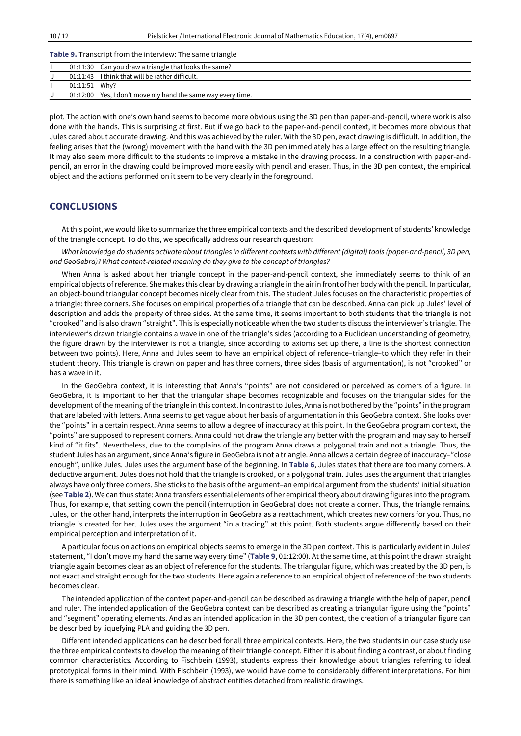## **Table 9.** Transcript from the interview: The same triangle

| 01:11:43 I think that will be rather difficult.             |  |
|-------------------------------------------------------------|--|
|                                                             |  |
| 01:11:51 Why?                                               |  |
| 01:12:00 Yes, I don't move my hand the same way every time. |  |

plot. The action with one's own hand seems to become more obvious using the 3D pen than paper-and-pencil, where work is also done with the hands. This is surprising at first. But if we go back to the paper-and-pencil context, it becomes more obvious that Jules cared about accurate drawing. And this was achieved by the ruler. With the 3D pen, exact drawing is difficult. In addition, the feeling arises that the (wrong) movement with the hand with the 3D pen immediately has a large effect on the resulting triangle. It may also seem more difficult to the students to improve a mistake in the drawing process. In a construction with paper-andpencil, an error in the drawing could be improved more easily with pencil and eraser. Thus, in the 3D pen context, the empirical object and the actions performed on it seem to be very clearly in the foreground.

# **CONCLUSIONS**

Atthis point, we would like to summarize the three empirical contexts and the described development of students' knowledge of the triangle concept. To do this, we specifically address our research question:

What knowledge do students activate about triangles in different contexts with different (digital) tools (paper-and-pencil, 3D pen, *and GeoGebra)? What content-related meaning do they give to the concept of triangles?*

When Anna is asked about her triangle concept in the paper-and-pencil context, she immediately seems to think of an empirical objects ofreference. She makes this clear by drawing a triangle in the airin front of her body with the pencil. In particular, an object-bound triangular concept becomes nicely clear from this. The student Jules focuses on the characteristic properties of a triangle: three corners. She focuses on empirical properties of a triangle that can be described. Anna can pick up Jules' level of description and adds the property of three sides. At the same time, it seems important to both students that the triangle is not "crooked" and is also drawn "straight". This is especially noticeable when the two students discuss the interviewer's triangle. The interviewer's drawn triangle contains a wave in one of the triangle's sides (according to a Euclidean understanding of geometry, the figure drawn by the interviewer is not a triangle, since according to axioms set up there, a line is the shortest connection between two points). Here, Anna and Jules seem to have an empirical object of reference–triangle–to which they refer in their student theory. This triangle is drawn on paper and has three corners, three sides (basis of argumentation), is not "crooked" or has a wave in it.

In the GeoGebra context, it is interesting that Anna's "points" are not considered or perceived as corners of a figure. In GeoGebra, it is important to her that the triangular shape becomes recognizable and focuses on the triangular sides for the development ofthe meaning ofthe triangle in this context. In contrastto Jules, Anna is not bothered by the "points" in the program that are labeled with letters. Anna seems to get vague about her basis of argumentation in this GeoGebra context. She looks over the "points" in a certain respect. Anna seems to allow a degree of inaccuracy at this point. In the GeoGebra program context, the "points" are supposed to represent corners. Anna could not draw the triangle any better with the program and may say to herself kind of "it fits". Nevertheless, due to the complains of the program Anna draws a polygonal train and not a triangle. Thus, the student Jules has an argument, since Anna's figure in GeoGebra is not a triangle. Anna allows a certain degree of inaccuracy–"close enough", unlike Jules. Jules uses the argument base of the beginning. In **Table 6**, Jules states that there are too many corners. A deductive argument. Jules does not hold that the triangle is crooked, or a polygonal train. Jules uses the argument that triangles always have only three corners. She sticks to the basis of the argument–an empirical argument from the students' initial situation (see **Table 2**). We can thus state: Anna transfers essential elements of her empirical theory about drawing figures into the program. Thus, for example, that setting down the pencil (interruption in GeoGebra) does not create a corner. Thus, the triangle remains. Jules, on the other hand, interprets the interruption in GeoGebra as a reattachment, which creates new corners for you. Thus, no triangle is created for her. Jules uses the argument "in a tracing" at this point. Both students argue differently based on their empirical perception and interpretation of it.

A particular focus on actions on empirical objects seems to emerge in the 3D pen context. This is particularly evident in Jules' statement, "I don't move my hand the same way every time" (**Table 9**, 01:12:00). At the same time, at this point the drawn straight triangle again becomes clear as an object of reference for the students. The triangular figure, which was created by the 3D pen, is not exact and straight enough for the two students. Here again a reference to an empirical object of reference of the two students becomes clear.

The intended application of the context paper-and-pencil can be described as drawing a triangle with the help of paper, pencil and ruler. The intended application of the GeoGebra context can be described as creating a triangular figure using the "points" and "segment" operating elements. And as an intended application in the 3D pen context, the creation of a triangular figure can be described by liquefying PLA and guiding the 3D pen.

Different intended applications can be described for all three empirical contexts. Here, the two students in our case study use the three empirical contexts to develop the meaning of their triangle concept. Either it is about finding a contrast, or about finding common characteristics. According to Fischbein (1993), students express their knowledge about triangles referring to ideal prototypical forms in their mind. With Fischbein (1993), we would have come to considerably different interpretations. For him there is something like an ideal knowledge of abstract entities detached from realistic drawings.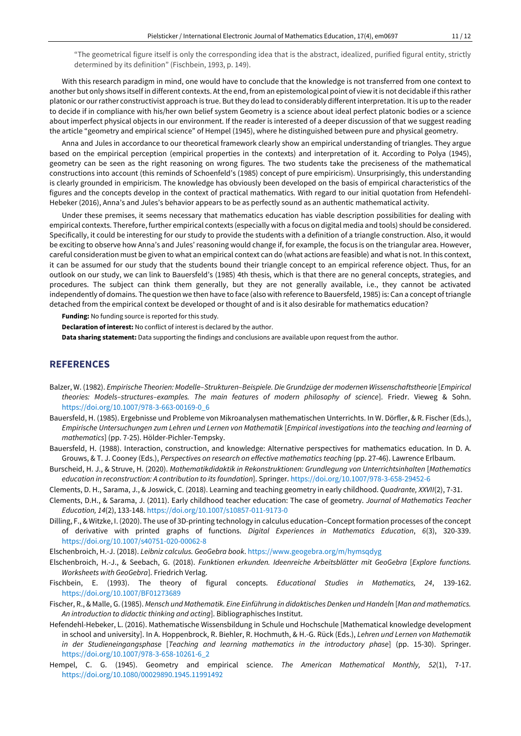"The geometrical figure itself is only the corresponding idea that is the abstract, idealized, purified figural entity, strictly determined by its definition" (Fischbein, 1993, p. 149).

With this research paradigm in mind, one would have to conclude that the knowledge is not transferred from one context to another but only shows itself in different contexts. Atthe end, from an epistemological point of view itis not decidable ifthis rather platonic or ourrather constructivist approach is true. Butthey do lead to considerably differentinterpretation. Itis up to the reader to decide if in compliance with his/her own belief system Geometry is a science about ideal perfect platonic bodies or a science about imperfect physical objects in our environment. If the reader is interested of a deeper discussion of that we suggest reading the article "geometry and empirical science" of Hempel (1945), where he distinguished between pure and physical geometry.

Anna and Jules in accordance to our theoretical framework clearly show an empirical understanding of triangles. They argue based on the empirical perception (empirical properties in the contexts) and interpretation of it. According to Polya (1945), geometry can be seen as the right reasoning on wrong figures. The two students take the preciseness of the mathematical constructions into account (this reminds of Schoenfeld's (1985) concept of pure empiricism). Unsurprisingly, this understanding is clearly grounded in empiricism. The knowledge has obviously been developed on the basis of empirical characteristics of the figures and the concepts develop in the context of practical mathematics. With regard to our initial quotation from Hefendehl-Hebeker (2016), Anna's and Jules's behavior appears to be as perfectly sound as an authentic mathematical activity.

Under these premises, it seems necessary that mathematics education has viable description possibilities for dealing with empirical contexts. Therefore, further empirical contexts (especially with a focus on digital media and tools) should be considered. Specifically, it could be interesting for our study to provide the students with a definition of a triangle construction. Also, it would be exciting to observe how Anna's and Jules' reasoning would change if, for example, the focus is on the triangular area. However, careful consideration must be given to what an empirical context can do (what actions are feasible) and whatis not. In this context, it can be assumed for our study that the students bound their triangle concept to an empirical reference object. Thus, for an outlook on our study, we can link to Bauersfeld's (1985) 4th thesis, which is that there are no general concepts, strategies, and procedures. The subject can think them generally, but they are not generally available, i.e., they cannot be activated independently of domains. The question we then have to face (also with reference to Bauersfeld, 1985) is: Can a concept oftriangle detached from the empirical context be developed or thought of and is it also desirable for mathematics education?

**Funding:** No funding source is reported for this study.

**Declaration of interest:** No conflict of interest is declared by the author.

**Data sharing statement:** Data supporting the findings and conclusions are available upon request from the author.

# **REFERENCES**

- Balzer, W. (1982). *Empirische Theorien: Modelle–Strukturen–Beispiele. Die Grundzüge der modernen Wissenschaftstheorie* [*Empirical theories: Models–structures–examples. The main features of modern philosophy of science*]. Friedr. Vieweg & Sohn. [https://doi.org/10.1007/978-3-663-00169-0\\_6](https://doi.org/10.1007/978-3-663-00169-0_6)
- Bauersfeld, H. (1985). Ergebnisse und Probleme von Mikroanalysen mathematischen Unterrichts. In W. Dörfler, & R. Fischer (Eds.), Empirische Untersuchungen zum Lehren und Lernen von Mathematik [Empirical investigations into the teaching and learning of *mathematics*] (pp. 7-25). Hölder-Pichler-Tempsky.
- Bauersfeld, H. (1988). Interaction, construction, and knowledge: Alternative perspectives for mathematics education. In D. A. Grouws, & T. J. Cooney (Eds.), *Perspectives on research on effective mathematics teaching* (pp. 27-46). Lawrence Erlbaum.
- Burscheid, H. J., & Struve, H. (2020). *Mathematikdidaktik in Rekonstruktionen: Grundlegung von Unterrichtsinhalten* [*Mathematics education in reconstruction: A contribution to its foundation*]. Springer. <https://doi.org/10.1007/978-3-658-29452-6>
- Clements, D. H., Sarama, J., & Joswick, C. (2018). Learning and teaching geometry in early childhood. *Quadrante, XXVII*(2), 7-31.
- Clements, D.H., & Sarama, J. (2011). Early childhood teacher education: The case of geometry. *Journal of Mathematics Teacher Education, 14*(2), 133-148. <https://doi.org/10.1007/s10857-011-9173-0>
- Dilling, F., & Witzke, I. (2020). The use of 3D-printing technology in calculus education–Conceptformation processes of the concept of derivative with printed graphs of functions. *Digital Experiences in Mathematics Education*, *6*(3), 320-339. <https://doi.org/10.1007/s40751-020-00062-8>

Elschenbroich, H.-J. (2018). *Leibniz calculus. GeoGebra book*. <https://www.geogebra.org/m/hymsqdyg>

- Elschenbroich, H.-J., & Seebach, G. (2018). *Funktionen erkunden. Ideenreiche Arbeitsblätter mit GeoGebra* [*Explore functions. Worksheets with GeoGebra*]. Friedrich Verlag.
- Fischbein, E. (1993). The theory of figural concepts. *Educational Studies in Mathematics, 24*, 139-162. <https://doi.org/10.1007/BF01273689>
- Fischer, R., & Malle, G. (1985). *Mensch und Mathematik. Eine Einführung in didaktisches Denken und Handel*n [*Man andmathematics. An introduction to didactic thinking and acting*]. Bibliographisches Institut.
- Hefendehl-Hebeker, L. (2016). Mathematische Wissensbildung in Schule und Hochschule [Mathematical knowledge development in school and university]. In A. Hoppenbrock, R. Biehler, R. Hochmuth, & H.-G. Rück (Eds.), *Lehren und Lernen von Mathematik in der Studieneingangsphase* [*Teaching and learning mathematics in the introductory phase*] (pp. 15-30). Springer. [https://doi.org/10.1007/978-3-658-10261-6\\_2](https://doi.org/10.1007/978-3-658-10261-6_2)
- Hempel, C. G. (1945). Geometry and empirical science. *The American Mathematical Monthly, 52*(1), 7-17. <https://doi.org/10.1080/00029890.1945.11991492>